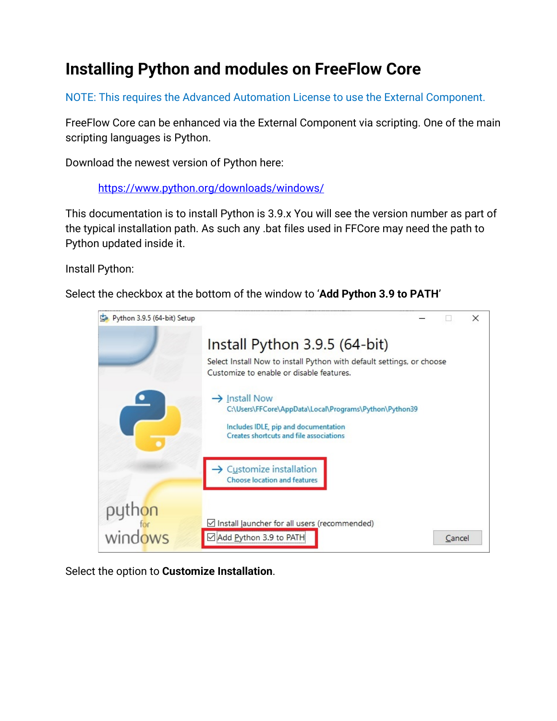## **Installing Python and modules on FreeFlow Core**

NOTE: This requires the Advanced Automation License to use the External Component.

FreeFlow Core can be enhanced via the External Component via scripting. One of the main scripting languages is Python.

Download the newest version of Python here:

<https://www.python.org/downloads/windows/>

This documentation is to install Python is 3.9.x You will see the version number as part of the typical installation path. As such any .bat files used in FFCore may need the path to Python updated inside it.

Install Python:

Select the checkbox at the bottom of the window to '**Add Python 3.9 to PATH**'



Select the option to **Customize Installation**.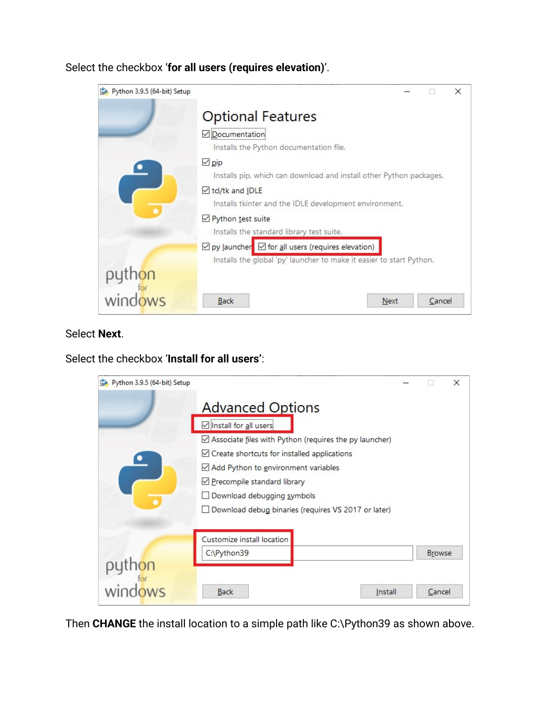Select the checkbox '**for all users (requires elevation)**'.



#### Select **Next**.

Select the checkbox '**Install for all users'**:

| Python 3.9.5 (64-bit) Setup  |                                                                                                                                                                                                                                                                                                                                      |  |                         | × |  |  |
|------------------------------|--------------------------------------------------------------------------------------------------------------------------------------------------------------------------------------------------------------------------------------------------------------------------------------------------------------------------------------|--|-------------------------|---|--|--|
|                              | <b>Advanced Options</b><br>□ Install for all users<br>☑ Associate files with Python (requires the py launcher)<br>$\triangle$ Create shortcuts for installed applications<br>Add Python to environment variables<br>Precompile standard library<br>Download debugging symbols<br>Download debug binaries (requires VS 2017 or later) |  |                         |   |  |  |
| $\overline{\phantom{a}}$ for | Customize install location<br>C:\Python39<br><b>Back</b><br>Install                                                                                                                                                                                                                                                                  |  | <b>Browse</b><br>Cancel |   |  |  |

Then **CHANGE** the install location to a simple path like C:\Python39 as shown above.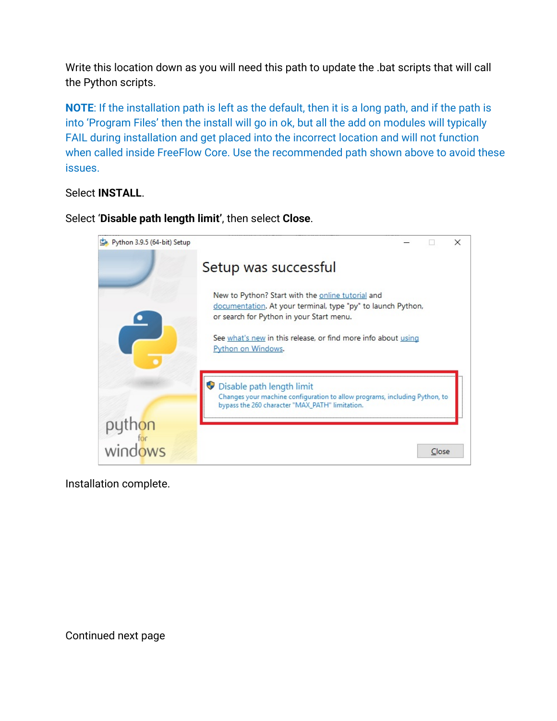Write this location down as you will need this path to update the .bat scripts that will call the Python scripts.

**NOTE**: If the installation path is left as the default, then it is a long path, and if the path is into 'Program Files' then the install will go in ok, but all the add on modules will typically FAIL during installation and get placed into the incorrect location and will not function when called inside FreeFlow Core. Use the recommended path shown above to avoid these issues.

#### Select **INSTALL**.



Select '**Disable path length limit'**, then select **Close**.

Installation complete.

Continued next page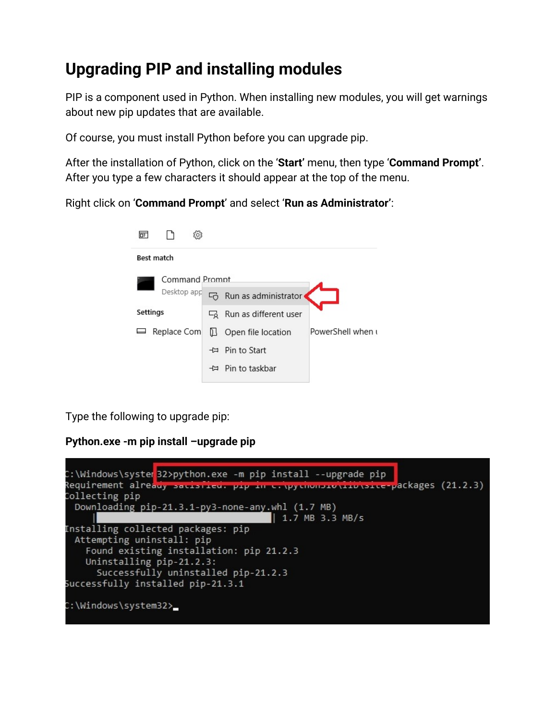# **Upgrading PIP and installing modules**

PIP is a component used in Python. When installing new modules, you will get warnings about new pip updates that are available.

Of course, you must install Python before you can upgrade pip.

After the installation of Python, click on the '**Start'** menu, then type '**Command Prompt'**. After you type a few characters it should appear at the top of the menu.

Right click on '**Command Prompt**' and select '**Run as Administrator'**:

| ஈ              |             | έO,                    |                                  |                   |  |  |
|----------------|-------------|------------------------|----------------------------------|-------------------|--|--|
|                | Best match  |                        |                                  |                   |  |  |
| Command Prompt |             |                        |                                  |                   |  |  |
|                | Desktop app |                        | Run as administrator             |                   |  |  |
|                | Settings    | $\sqcup_{\mathcal{O}}$ | Run as different user            |                   |  |  |
|                | Replace Com | D I                    | Open file location               | PowerShell when u |  |  |
|                |             |                        | <b>-</b> $\uparrow$ Pin to Start |                   |  |  |
|                |             |                        | → Pin to taskbar                 |                   |  |  |
|                |             |                        |                                  |                   |  |  |

Type the following to upgrade pip:

### **Python.exe -m pip install –upgrade pip**

|                                    | C:\Windows\syster <mark>32&gt;python.exe -m pip install --upgrade pip</mark>               |  |
|------------------------------------|--------------------------------------------------------------------------------------------|--|
|                                    | Requirement already s <del>acisfied. pip in c. pychonsio\ifb\sice-p</del> ackages (21.2.3) |  |
| Collecting pip                     |                                                                                            |  |
|                                    | Downloading pip-21.3.1-py3-none-any.whl (1.7 MB)                                           |  |
|                                    | 1.7 MB 3.3 MB/s                                                                            |  |
| Installing collected packages: pip |                                                                                            |  |
| Attempting uninstall: pip          |                                                                                            |  |
|                                    | Found existing installation: pip 21.2.3                                                    |  |
| Uninstalling pip-21.2.3:           |                                                                                            |  |
|                                    | Successfully uninstalled pip-21.2.3                                                        |  |
| Successfully installed pip-21.3.1  |                                                                                            |  |
|                                    |                                                                                            |  |
| C:\Windows\system32>_              |                                                                                            |  |
|                                    |                                                                                            |  |